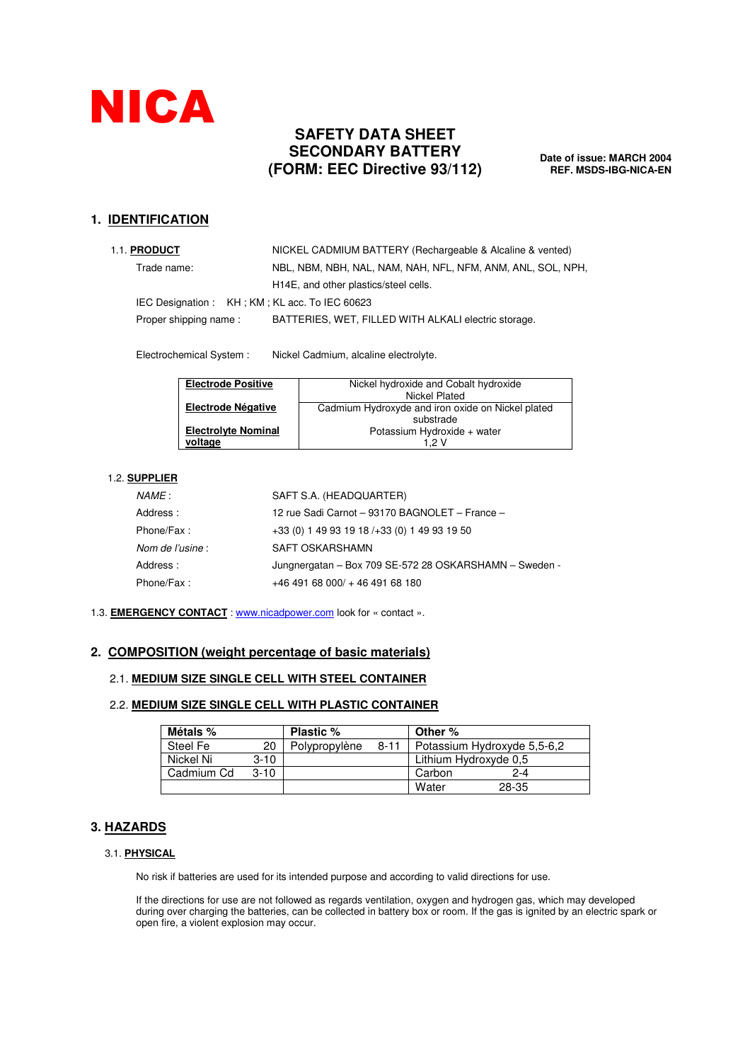

# **SAFETY DATA SHEET SECONDARY BATTERY (FORM: EEC Directive 93/112)**

**Date of issue: MARCH 2004 REF. MSDS-IBG-NICA-EN**

## **1. IDENTIFICATION**

| 1.1. PRODUCT                                  | NICKEL CADMIUM BATTERY (Rechargeable & Alcaline & vented)   |  |  |  |  |  |  |  |
|-----------------------------------------------|-------------------------------------------------------------|--|--|--|--|--|--|--|
| Trade name:                                   | NBL, NBM, NBH, NAL, NAM, NAH, NFL, NFM, ANM, ANL, SOL, NPH, |  |  |  |  |  |  |  |
|                                               | H <sub>14</sub> E, and other plastics/steel cells.          |  |  |  |  |  |  |  |
| IEC Designation: KH; KM; KL acc. To IEC 60623 |                                                             |  |  |  |  |  |  |  |
| Proper shipping name:                         | BATTERIES, WET, FILLED WITH ALKALI electric storage.        |  |  |  |  |  |  |  |

Electrochemical System : Nickel Cadmium, alcaline electrolyte.

| <b>Electrode Positive</b>  | Nickel hydroxide and Cobalt hydroxide             |
|----------------------------|---------------------------------------------------|
|                            | Nickel Plated                                     |
| <b>Electrode Négative</b>  | Cadmium Hydroxyde and iron oxide on Nickel plated |
|                            | substrade                                         |
| <b>Electrolyte Nominal</b> | Potassium Hydroxide + water                       |
| voltage                    | 1.2 V                                             |

### 1.2. **SUPPLIER**

| SAFT S.A. (HEADQUARTER)                                |
|--------------------------------------------------------|
| 12 rue Sadi Carnot - 93170 BAGNOLET - France -         |
| +33 (0) 1 49 93 19 18 / + 33 (0) 1 49 93 19 50         |
| SAFT OSKARSHAMN                                        |
| Jungnergatan - Box 709 SE-572 28 OSKARSHAMN - Sweden - |
| $+4649168000/ + 4649168180$                            |
|                                                        |

### 1.3. **EMERGENCY CONTACT** : www.nicadpower.com look for « contact ».

### **2. COMPOSITION (weight percentage of basic materials)**

### 2.1. **MEDIUM SIZE SINGLE CELL WITH STEEL CONTAINER**

### 2.2. **MEDIUM SIZE SINGLE CELL WITH PLASTIC CONTAINER**

| Métals %   |        | <b>Plastic %</b> |          | Other %                     |         |  |
|------------|--------|------------------|----------|-----------------------------|---------|--|
| Steel Fe   | 20     | Polypropylène    | $8 - 11$ | Potassium Hydroxyde 5,5-6,2 |         |  |
| Nickel Ni  | $3-10$ |                  |          | Lithium Hydroxyde 0.5       |         |  |
| Cadmium Cd | $3-10$ |                  |          | Carbon                      | $2 - 4$ |  |
|            |        |                  |          | Water                       | 28-35   |  |

### **3. HAZARDS**

### 3.1. **PHYSICAL**

No risk if batteries are used for its intended purpose and according to valid directions for use.

If the directions for use are not followed as regards ventilation, oxygen and hydrogen gas, which may developed during over charging the batteries, can be collected in battery box or room. If the gas is ignited by an electric spark or open fire, a violent explosion may occur.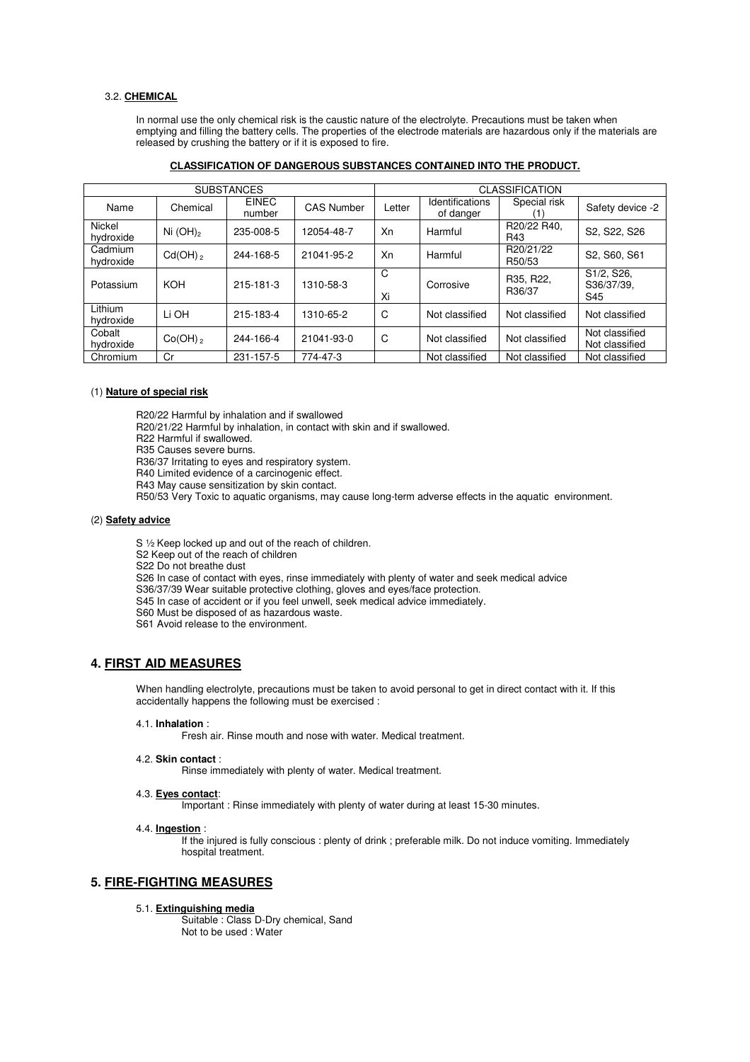#### 3.2. **CHEMICAL**

In normal use the only chemical risk is the caustic nature of the electrolyte. Precautions must be taken when emptying and filling the battery cells. The properties of the electrode materials are hazardous only if the materials are released by crushing the battery or if it is exposed to fire.

#### **CLASSIFICATION OF DANGEROUS SUBSTANCES CONTAINED INTO THE PRODUCT.**

|                      |              | <b>SUBSTANCES</b>      |                   | <b>CLASSIFICATION</b> |                                |                     |                                  |  |  |  |
|----------------------|--------------|------------------------|-------------------|-----------------------|--------------------------------|---------------------|----------------------------------|--|--|--|
| Name                 | Chemical     | <b>EINEC</b><br>number | <b>CAS Number</b> | Letter                | Identifications<br>of danger   | Special risk        | Safety device -2                 |  |  |  |
| Nickel<br>hydroxide  | Ni $(OH)_2$  | 235-008-5              | 12054-48-7        | Xn<br>Harmful         |                                | R20/22 R40,<br>R43  | S2, S22, S26                     |  |  |  |
| Cadmium<br>hydroxide | $Cd(OH)_{2}$ | 244-168-5              | 21041-95-2        | Xn                    | R20/21/22<br>Harmful<br>R50/53 |                     | S2, S60, S61                     |  |  |  |
| Potassium            | <b>KOH</b>   | 215-181-3              | 1310-58-3         | C<br>Xi               | Corrosive                      | R35, R22,<br>R36/37 | S1/2, S26,<br>S36/37/39,<br>S45  |  |  |  |
| Lithium<br>hydroxide | Li OH        | 215-183-4              | 1310-65-2         | C                     | Not classified                 | Not classified      | Not classified                   |  |  |  |
| Cobalt<br>hydroxide  | $Co(OH)_{2}$ | 244-166-4              | 21041-93-0        | C                     | Not classified                 | Not classified      | Not classified<br>Not classified |  |  |  |
| Chromium             | Cr           | 231-157-5              | 774-47-3          |                       | Not classified                 | Not classified      | Not classified                   |  |  |  |

#### (1) **Nature of special risk**

R20/22 Harmful by inhalation and if swallowed

R20/21/22 Harmful by inhalation, in contact with skin and if swallowed.

R22 Harmful if swallowed.

R35 Causes severe burns.

R36/37 Irritating to eyes and respiratory system.

R40 Limited evidence of a carcinogenic effect.

R43 May cause sensitization by skin contact.

R50/53 Very Toxic to aquatic organisms, may cause long-term adverse effects in the aquatic environment.

#### (2) **Safety advice**

S ½ Keep locked up and out of the reach of children.

S2 Keep out of the reach of children

S22 Do not breathe dust

S26 In case of contact with eyes, rinse immediately with plenty of water and seek medical advice

S36/37/39 Wear suitable protective clothing, gloves and eyes/face protection.

S45 In case of accident or if you feel unwell, seek medical advice immediately.

- S60 Must be disposed of as hazardous waste.
- S61 Avoid release to the environment.

### **4. FIRST AID MEASURES**

When handling electrolyte, precautions must be taken to avoid personal to get in direct contact with it. If this accidentally happens the following must be exercised :

#### 4.1. **Inhalation** :

Fresh air. Rinse mouth and nose with water. Medical treatment.

#### 4.2. **Skin contact** :

Rinse immediately with plenty of water. Medical treatment.

#### 4.3. **Eyes contact**:

Important : Rinse immediately with plenty of water during at least 15-30 minutes.

#### 4.4. **Ingestion** :

If the injured is fully conscious : plenty of drink ; preferable milk. Do not induce vomiting. Immediately hospital treatment.

### **5. FIRE-FIGHTING MEASURES**

#### 5.1. **Extinguishing media**

Suitable : Class D-Dry chemical, Sand Not to be used : Water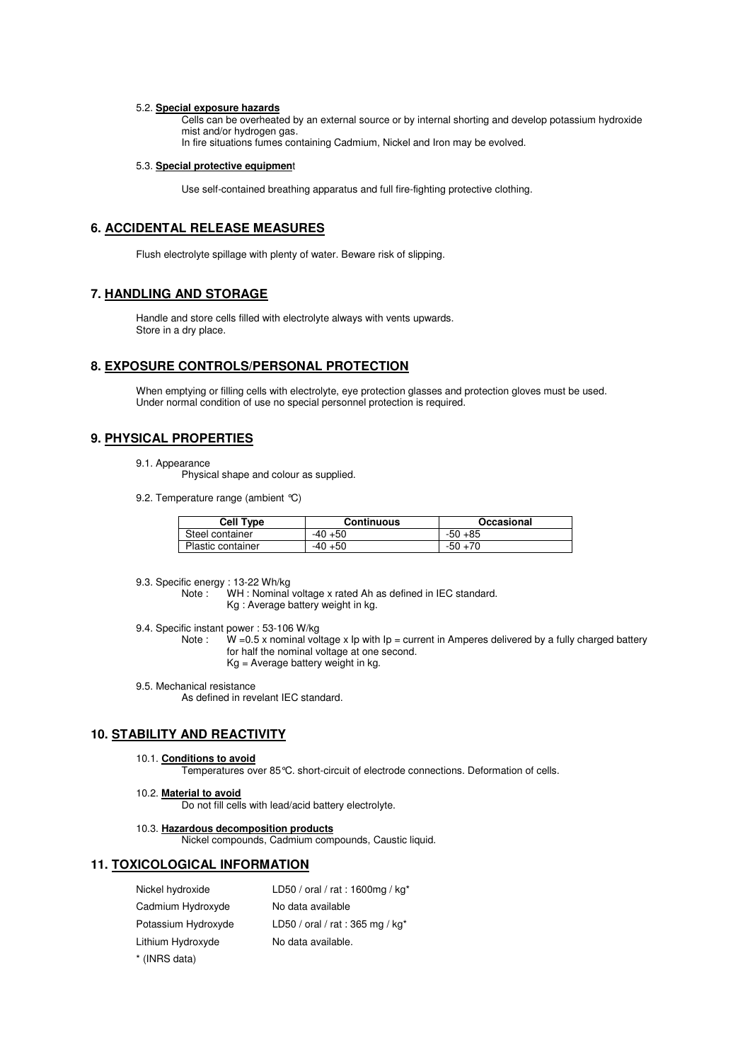#### 5.2. **Special exposure hazards**

Cells can be overheated by an external source or by internal shorting and develop potassium hydroxide mist and/or hydrogen gas.

In fire situations fumes containing Cadmium, Nickel and Iron may be evolved.

#### 5.3. **Special protective equipmen**t

Use self-contained breathing apparatus and full fire-fighting protective clothing.

## **6. ACCIDENTAL RELEASE MEASURES**

Flush electrolyte spillage with plenty of water. Beware risk of slipping.

### **7. HANDLING AND STORAGE**

Handle and store cells filled with electrolyte always with vents upwards. Store in a dry place.

### **8. EXPOSURE CONTROLS/PERSONAL PROTECTION**

When emptying or filling cells with electrolyte, eye protection glasses and protection gloves must be used. Under normal condition of use no special personnel protection is required.

## **9. PHYSICAL PROPERTIES**

- 9.1. Appearance
	- Physical shape and colour as supplied.
- 9.2. Temperature range (ambient °C)

| <b>Cell Type</b>         | Continuous | Occasional |  |  |  |  |
|--------------------------|------------|------------|--|--|--|--|
| Steel container          | $-40+50$   | $-50+85$   |  |  |  |  |
| <b>Plastic container</b> | $-40+50$   | $-50+70$   |  |  |  |  |

- 9.3. Specific energy : 13-22 Wh/kg
	- Note : WH : Nominal voltage x rated Ah as defined in IEC standard. Kg : Average battery weight in kg.
- 9.4. Specific instant power : 53-106 W/kg
	- Note :  $W = 0.5$  x nominal voltage x Ip with Ip = current in Amperes delivered by a fully charged battery for half the nominal voltage at one second.
		- Kg = Average battery weight in kg.
- 9.5. Mechanical resistance
	- As defined in revelant IEC standard.

### **10. STABILITY AND REACTIVITY**

10.1. **Conditions to avoid**

Temperatures over 85°C. short-circuit of electrode connections. Deformation of cells.

10.2. **Material to avoid**

Do not fill cells with lead/acid battery electrolyte.

#### 10.3. **Hazardous decomposition products**

Nickel compounds, Cadmium compounds, Caustic liquid.

### **11. TOXICOLOGICAL INFORMATION**

| Nickel hydroxide    | LD50 / oral / rat: 1600mg / kg* |
|---------------------|---------------------------------|
| Cadmium Hydroxyde   | No data available               |
| Potassium Hydroxyde | LD50 / oral / rat: 365 mg / kg* |
| Lithium Hydroxyde   | No data available.              |
|                     |                                 |

\* (INRS data)